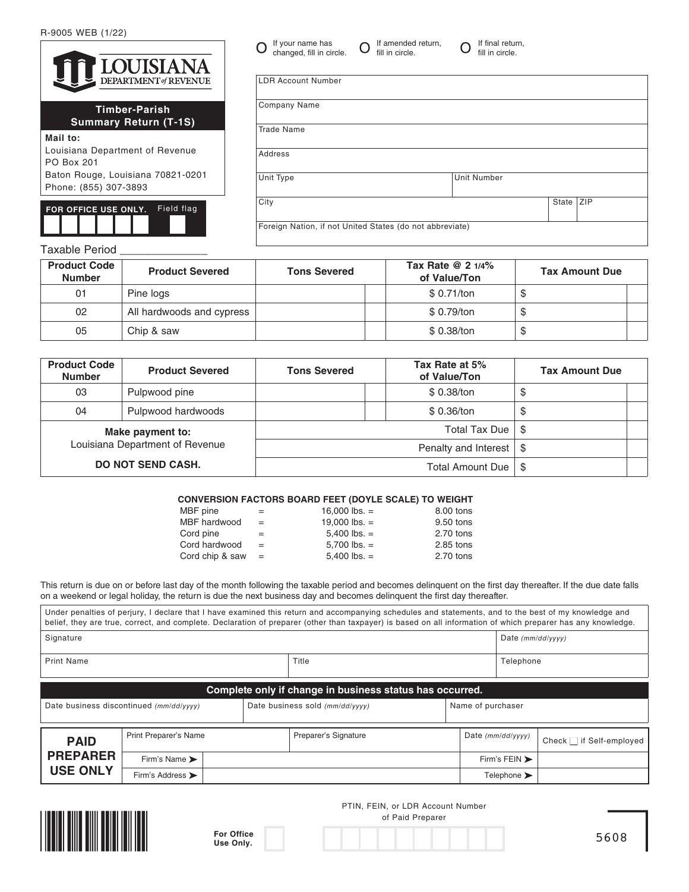R-9005 WEB (1/22)

|                      | LOUISIANA<br>DEPARTMENT of REVENUE |  |  |  |
|----------------------|------------------------------------|--|--|--|
| <b>Timber-Parish</b> |                                    |  |  |  |

## **Summary Return (T-1S)**

**Mail to:** Louisiana Department of Revenue PO Box 201 Baton Rouge, Louisiana 70821-0201 Phone: (855) 307-3893

**FOR OFFICE USE ONLY.** Field flag

| Company Name                                             |                    |       |            |
|----------------------------------------------------------|--------------------|-------|------------|
| <b>Trade Name</b>                                        |                    |       |            |
| Address                                                  |                    |       |            |
| Unit Type                                                | <b>Unit Number</b> |       |            |
| City                                                     |                    | State | <b>ZIP</b> |
| Foreign Nation, if not United States (do not abbreviate) |                    |       |            |

fill in circle.

 $\mathbf 0$  If your name has  $\mathbf 0$  If amended return,  $\mathbf 0$  If final return,  $\mathbf 0$  if final return,

If your name has changed, fill in circle.

LDR Account Number

fill in circle.

## Taxable Period

| <b>Product Code</b><br><b>Number</b> | <b>Product Severed</b>    | Tax Rate $@21/4\%$<br><b>Tons Severed</b> |             | <b>Tax Amount Due</b> |
|--------------------------------------|---------------------------|-------------------------------------------|-------------|-----------------------|
| 01                                   | Pine logs                 |                                           | \$ 0.71/ton |                       |
| 02                                   | All hardwoods and cypress |                                           | \$ 0.79/ton |                       |
| 05                                   | Chip & saw                |                                           | \$ 0.38/ton | Œ                     |

| <b>Product Code</b><br><b>Number</b>                                            | <b>Product Severed</b> | Tax Rate at 5%<br><b>Tons Severed</b><br>of Value/Ton |                                    | <b>Tax Amount Due</b> |  |
|---------------------------------------------------------------------------------|------------------------|-------------------------------------------------------|------------------------------------|-----------------------|--|
| 03                                                                              | Pulpwood pine          | \$ 0.38/ton                                           |                                    | \$                    |  |
| 04                                                                              | Pulpwood hardwoods     | \$ 0.36/ton                                           |                                    | \$                    |  |
| Make payment to:<br>Louisiana Department of Revenue<br><b>DO NOT SEND CASH.</b> |                        |                                                       | Total Tax Due                      | -\$                   |  |
|                                                                                 |                        |                                                       | Penalty and Interest $\frac{1}{3}$ |                       |  |
|                                                                                 |                        |                                                       | -S                                 |                       |  |

## **CONVERSION FACTORS BOARD FEET (DOYLE SCALE) TO WEIGHT**

| MBF pine        | =   | 16,000 lbs. $=$ | 8.00 tons |
|-----------------|-----|-----------------|-----------|
| MBF hardwood    | $=$ | 19,000 lbs. $=$ | 9.50 tons |
| Cord pine       | =   | $5,400$ lbs. =  | 2.70 tons |
| Cord hardwood   | $=$ | $5.700$ lbs. =  | 2.85 tons |
| Cord chip & saw | $=$ | $5,400$ lbs. =  | 2.70 tons |
|                 |     |                 |           |

This return is due on or before last day of the month following the taxable period and becomes delinquent on the first day thereafter. If the due date falls on a weekend or legal holiday, the return is due the next business day and becomes delinquent the first day thereafter.

|                                                                                                 |                                                          |  | Under penalties of perjury, I declare that I have examined this return and accompanying schedules and statements, and to the best of my knowledge and<br>belief, they are true, correct, and complete. Declaration of preparer (other than taxpayer) is based on all information of which preparer has any knowledge. |  |                                 |                               |  |  |
|-------------------------------------------------------------------------------------------------|----------------------------------------------------------|--|-----------------------------------------------------------------------------------------------------------------------------------------------------------------------------------------------------------------------------------------------------------------------------------------------------------------------|--|---------------------------------|-------------------------------|--|--|
| Signature                                                                                       |                                                          |  |                                                                                                                                                                                                                                                                                                                       |  | Date $(mm/dd/vvvv)$             |                               |  |  |
| Title<br>Print Name                                                                             |                                                          |  |                                                                                                                                                                                                                                                                                                                       |  | Telephone                       |                               |  |  |
|                                                                                                 | Complete only if change in business status has occurred. |  |                                                                                                                                                                                                                                                                                                                       |  |                                 |                               |  |  |
| Name of purchaser<br>Date business discontinued (mm/dd/yyyy)<br>Date business sold (mm/dd/yyyy) |                                                          |  |                                                                                                                                                                                                                                                                                                                       |  |                                 |                               |  |  |
| <b>PAID</b>                                                                                     | Print Preparer's Name                                    |  | Preparer's Signature                                                                                                                                                                                                                                                                                                  |  | Date $(mm/dd/yyyy)$             | Check $\Box$ if Self-employed |  |  |
| <b>PREPARER</b>                                                                                 | Firm's Name >                                            |  |                                                                                                                                                                                                                                                                                                                       |  | Firm's FEIN >                   |                               |  |  |
| <b>USE ONLY</b>                                                                                 | Firm's Address >                                         |  |                                                                                                                                                                                                                                                                                                                       |  | Telephone $\blacktriangleright$ |                               |  |  |



**For Office Use Only.**

PTIN, FEIN, or LDR Account Number of Paid Preparer

5608